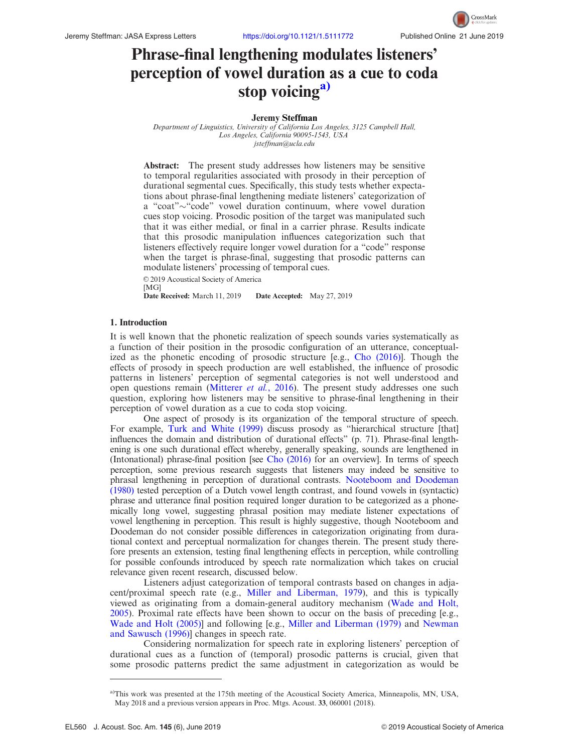# <span id="page-0-0"></span>Phrase-final lengthening modulates listeners' perception of vowel duration as a cue to coda stop voicing $a$

#### Jeremy Steffman

Department of Linguistics, University of California Los Angeles, 3125 Campbell Hall, Los Angeles, California 90095-1543, USA [jsteffman@ucla.edu](mailto:jsteffman@ucla.edu)

Abstract: The present study addresses how listeners may be sensitive to temporal regularities associated with prosody in their perception of durational segmental cues. Specifically, this study tests whether expectations about phrase-final lengthening mediate listeners' categorization of a "coat"~"code" vowel duration continuum, where vowel duration cues stop voicing. Prosodic position of the target was manipulated such that it was either medial, or final in a carrier phrase. Results indicate that this prosodic manipulation influences categorization such that listeners effectively require longer vowel duration for a "code" response when the target is phrase-final, suggesting that prosodic patterns can modulate listeners' processing of temporal cues.

© 2019 Acoustical Society of America

[MG]<br>Date Received: March 11, 2019 Date Accepted: May 27, 2019

#### 1. Introduction

It is well known that the phonetic realization of speech sounds varies systematically as a function of their position in the prosodic configuration of an utterance, conceptualized as the phonetic encoding of prosodic structure [e.g., [Cho \(2016\)](#page-6-0)]. Though the effects of prosody in speech production are well established, the influence of prosodic patterns in listeners' perception of segmental categories is not well understood and open questions remain ([Mitterer](#page-6-0) et al., 2016). The present study addresses one such question, exploring how listeners may be sensitive to phrase-final lengthening in their perception of vowel duration as a cue to coda stop voicing.

One aspect of prosody is its organization of the temporal structure of speech. For example, [Turk and White \(1999\)](#page-6-0) discuss prosody as "hierarchical structure [that] influences the domain and distribution of durational effects" (p. 71). Phrase-final lengthening is one such durational effect whereby, generally speaking, sounds are lengthened in (Intonational) phrase-final position [see [Cho \(2016\)](#page-6-0) for an overview]. In terms of speech perception, some previous research suggests that listeners may indeed be sensitive to phrasal lengthening in perception of durational contrasts. [Nooteboom and Doodeman](#page-6-0) [\(1980\)](#page-6-0) tested perception of a Dutch vowel length contrast, and found vowels in (syntactic) phrase and utterance final position required longer duration to be categorized as a phonemically long vowel, suggesting phrasal position may mediate listener expectations of vowel lengthening in perception. This result is highly suggestive, though Nooteboom and Doodeman do not consider possible differences in categorization originating from durational context and perceptual normalization for changes therein. The present study therefore presents an extension, testing final lengthening effects in perception, while controlling for possible confounds introduced by speech rate normalization which takes on crucial relevance given recent research, discussed below.

Listeners adjust categorization of temporal contrasts based on changes in adjacent/proximal speech rate (e.g., [Miller and Liberman, 1979\)](#page-6-0), and this is typically viewed as originating from a domain-general auditory mechanism ([Wade and Holt,](#page-6-0) [2005\)](#page-6-0). Proximal rate effects have been shown to occur on the basis of preceding [e.g., [Wade and Holt \(2005\)](#page-6-0)] and following [e.g., [Miller and Liberman \(1979\)](#page-6-0) and [Newman](#page-6-0) [and Sawusch \(1996\)](#page-6-0)] changes in speech rate.

Considering normalization for speech rate in exploring listeners' perception of durational cues as a function of (temporal) prosodic patterns is crucial, given that some prosodic patterns predict the same adjustment in categorization as would be

a)This work was presented at the 175th meeting of the Acoustical Society America, Minneapolis, MN, USA, May 2018 and a previous version appears in Proc. Mtgs. Acoust. 33, 060001 (2018).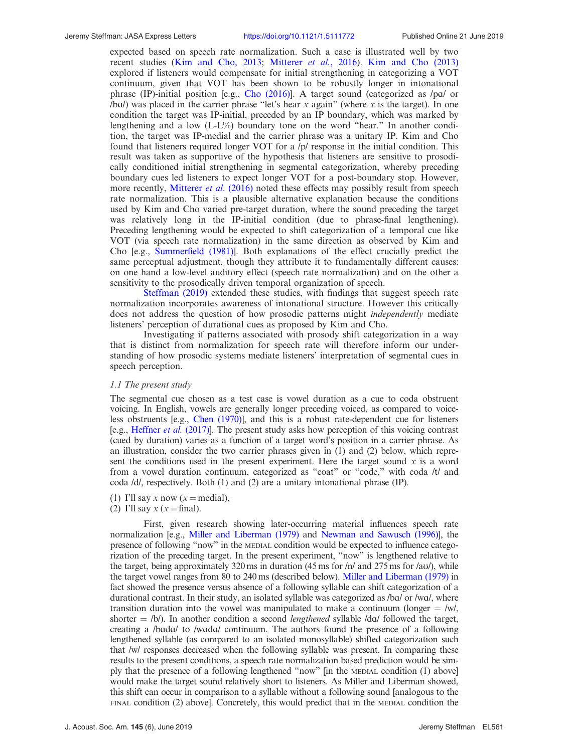expected based on speech rate normalization. Such a case is illustrated well by two recent studies ([Kim and Cho, 2013;](#page-6-0) [Mitterer](#page-6-0) et al., 2016). [Kim and Cho \(2013\)](#page-6-0) explored if listeners would compensate for initial strengthening in categorizing a VOT continuum, given that VOT has been shown to be robustly longer in intonational phrase (IP)-initial position [e.g., Cho  $(2016)$ ]. A target sound (categorized as /pa/ or  $/ba$ ) was placed in the carrier phrase "let's hear x again" (where x is the target). In one condition the target was IP-initial, preceded by an IP boundary, which was marked by lengthening and a low (L-L%) boundary tone on the word "hear." In another condition, the target was IP-medial and the carrier phrase was a unitary IP. Kim and Cho found that listeners required longer VOT for a /p/ response in the initial condition. This result was taken as supportive of the hypothesis that listeners are sensitive to prosodically conditioned initial strengthening in segmental categorization, whereby preceding boundary cues led listeners to expect longer VOT for a post-boundary stop. However, more recently, [Mitterer](#page-6-0) et al. (2016) noted these effects may possibly result from speech rate normalization. This is a plausible alternative explanation because the conditions used by Kim and Cho varied pre-target duration, where the sound preceding the target was relatively long in the IP-initial condition (due to phrase-final lengthening). Preceding lengthening would be expected to shift categorization of a temporal cue like VOT (via speech rate normalization) in the same direction as observed by Kim and Cho [e.g., [Summerfield \(1981\)](#page-6-0)]. Both explanations of the effect crucially predict the same perceptual adjustment, though they attribute it to fundamentally different causes: on one hand a low-level auditory effect (speech rate normalization) and on the other a sensitivity to the prosodically driven temporal organization of speech.

[Steffman \(2019\)](#page-6-0) extended these studies, with findings that suggest speech rate normalization incorporates awareness of intonational structure. However this critically does not address the question of how prosodic patterns might *independently* mediate listeners' perception of durational cues as proposed by Kim and Cho.

Investigating if patterns associated with prosody shift categorization in a way that is distinct from normalization for speech rate will therefore inform our understanding of how prosodic systems mediate listeners' interpretation of segmental cues in speech perception.

#### 1.1 The present study

The segmental cue chosen as a test case is vowel duration as a cue to coda obstruent voicing. In English, vowels are generally longer preceding voiced, as compared to voiceless obstruents [e.g., [Chen \(1970\)](#page-6-0)], and this is a robust rate-dependent cue for listeners [e.g., [Heffner](#page-6-0) et al. (2017)]. The present study asks how perception of this voicing contrast (cued by duration) varies as a function of a target word's position in a carrier phrase. As an illustration, consider the two carrier phrases given in (1) and (2) below, which represent the conditions used in the present experiment. Here the target sound  $x$  is a word from a vowel duration continuum, categorized as "coat" or "code," with coda /t/ and coda /d/, respectively. Both (1) and (2) are a unitary intonational phrase (IP).

- (1) I'll say x now  $(x = \text{median})$ ,
- (2) I'll say  $x (x = \text{final}).$

First, given research showing later-occurring material influences speech rate normalization [e.g., [Miller and Liberman \(1979\)](#page-6-0) and [Newman and Sawusch \(1996\)\]](#page-6-0), the presence of following "now" in the MEDIAL condition would be expected to influence categorization of the preceding target. In the present experiment, "now" is lengthened relative to the target, being approximately 320 ms in duration (45 ms for  $/n/$  and 275 ms for  $/av/$ ), while the target vowel ranges from 80 to 240 ms (described below). [Miller and Liberman \(1979\)](#page-6-0) in fact showed the presence versus absence of a following syllable can shift categorization of a durational contrast. In their study, an isolated syllable was categorized as /ba/ or /wa/, where transition duration into the vowel was manipulated to make a continuum (longer  $=$  /w/, shorter  $=$  /b/). In another condition a second *lengthened* syllable /d $\alpha$ / followed the target, creating a /bada/ to /wada/ continuum. The authors found the presence of a following lengthened syllable (as compared to an isolated monosyllable) shifted categorization such that /w/ responses decreased when the following syllable was present. In comparing these results to the present conditions, a speech rate normalization based prediction would be simply that the presence of a following lengthened "now" [in the MEDIAL condition (1) above] would make the target sound relatively short to listeners. As Miller and Liberman showed, this shift can occur in comparison to a syllable without a following sound [analogous to the FINAL condition (2) above]. Concretely, this would predict that in the MEDIAL condition the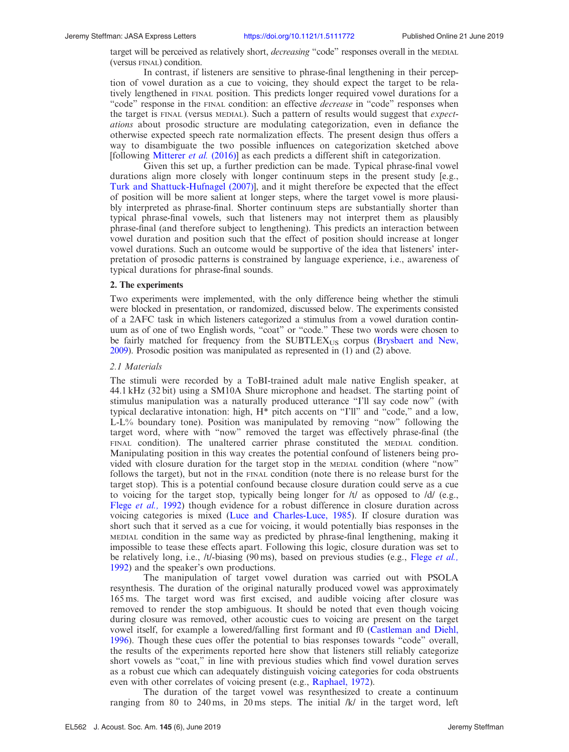target will be perceived as relatively short, *decreasing* "code" responses overall in the MEDIAL (versus FINAL) condition.

In contrast, if listeners are sensitive to phrase-final lengthening in their perception of vowel duration as a cue to voicing, they should expect the target to be relatively lengthened in FINAL position. This predicts longer required vowel durations for a "code" response in the FINAL condition: an effective *decrease* in "code" responses when the target is FINAL (versus MEDIAL). Such a pattern of results would suggest that *expect*ations about prosodic structure are modulating categorization, even in defiance the otherwise expected speech rate normalization effects. The present design thus offers a way to disambiguate the two possible influences on categorization sketched above [following [Mitterer](#page-6-0) et al. (2016)] as each predicts a different shift in categorization.

Given this set up, a further prediction can be made. Typical phrase-final vowel durations align more closely with longer continuum steps in the present study [e.g., [Turk and Shattuck-Hufnagel \(2007\)\]](#page-6-0), and it might therefore be expected that the effect of position will be more salient at longer steps, where the target vowel is more plausibly interpreted as phrase-final. Shorter continuum steps are substantially shorter than typical phrase-final vowels, such that listeners may not interpret them as plausibly phrase-final (and therefore subject to lengthening). This predicts an interaction between vowel duration and position such that the effect of position should increase at longer vowel durations. Such an outcome would be supportive of the idea that listeners' interpretation of prosodic patterns is constrained by language experience, i.e., awareness of typical durations for phrase-final sounds.

#### 2. The experiments

Two experiments were implemented, with the only difference being whether the stimuli were blocked in presentation, or randomized, discussed below. The experiments consisted of a 2AFC task in which listeners categorized a stimulus from a vowel duration continuum as of one of two English words, "coat" or "code." These two words were chosen to be fairly matched for frequency from the  $SUBTLEX<sub>US</sub>$  corpus ([Brysbaert and New,](#page-6-0) [2009\)](#page-6-0). Prosodic position was manipulated as represented in (1) and (2) above.

## 2.1 Materials

The stimuli were recorded by a ToBI-trained adult male native English speaker, at 44.1 kHz (32 bit) using a SM10A Shure microphone and headset. The starting point of stimulus manipulation was a naturally produced utterance "I'll say code now" (with typical declarative intonation: high, H\* pitch accents on "I'll" and "code," and a low, L-L% boundary tone). Position was manipulated by removing "now" following the target word, where with "now" removed the target was effectively phrase-final (the FINAL condition). The unaltered carrier phrase constituted the MEDIAL condition. Manipulating position in this way creates the potential confound of listeners being provided with closure duration for the target stop in the MEDIAL condition (where "now" follows the target), but not in the FINAL condition (note there is no release burst for the target stop). This is a potential confound because closure duration could serve as a cue to voicing for the target stop, typically being longer for  $/t/$  as opposed to  $/d/$  (e.g., Flege *et al.*, 1992) though evidence for a robust difference in closure duration across voicing categories is mixed [\(Luce and Charles-Luce, 1985](#page-6-0)). If closure duration was short such that it served as a cue for voicing, it would potentially bias responses in the MEDIAL condition in the same way as predicted by phrase-final lengthening, making it impossible to tease these effects apart. Following this logic, closure duration was set to be relatively long, i.e., /t/-biasing (90 ms), based on previous studies (e.g., Flege [et al.,](#page-6-0) [1992\)](#page-6-0) and the speaker's own productions.

The manipulation of target vowel duration was carried out with PSOLA resynthesis. The duration of the original naturally produced vowel was approximately 165 ms. The target word was first excised, and audible voicing after closure was removed to render the stop ambiguous. It should be noted that even though voicing during closure was removed, other acoustic cues to voicing are present on the target vowel itself, for example a lowered/falling first formant and f0 ([Castleman and Diehl,](#page-6-0) [1996\)](#page-6-0). Though these cues offer the potential to bias responses towards "code" overall, the results of the experiments reported here show that listeners still reliably categorize short vowels as "coat," in line with previous studies which find vowel duration serves as a robust cue which can adequately distinguish voicing categories for coda obstruents even with other correlates of voicing present (e.g., [Raphael, 1972\)](#page-6-0).

The duration of the target vowel was resynthesized to create a continuum ranging from 80 to 240 ms, in 20 ms steps. The initial  $/k/$  in the target word, left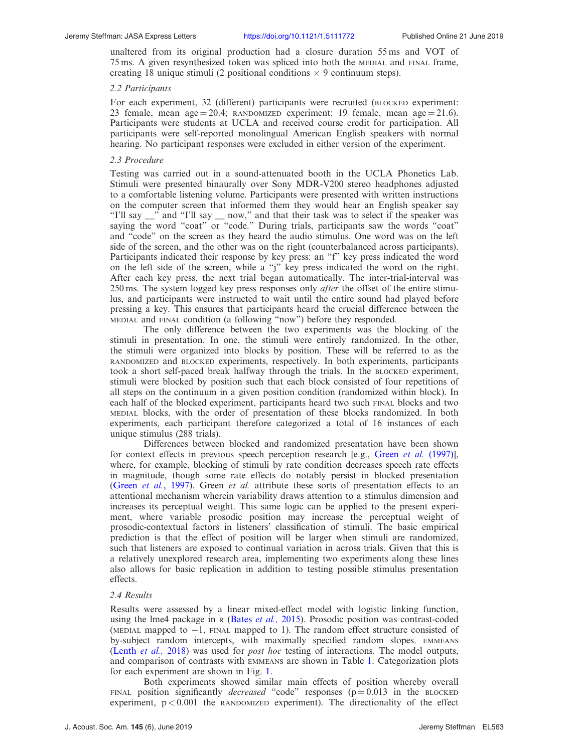unaltered from its original production had a closure duration 55 ms and VOT of 75 ms. A given resynthesized token was spliced into both the MEDIAL and FINAL frame, creating 18 unique stimuli (2 positional conditions  $\times$  9 continuum steps).

#### 2.2 Participants

For each experiment, 32 (different) participants were recruited (BLOCKED experiment: 23 female, mean age = 20.4; RANDOMIZED experiment: 19 female, mean age = 21.6). Participants were students at UCLA and received course credit for participation. All participants were self-reported monolingual American English speakers with normal hearing. No participant responses were excluded in either version of the experiment.

#### 2.3 Procedure

Testing was carried out in a sound-attenuated booth in the UCLA Phonetics Lab. Stimuli were presented binaurally over Sony MDR-V200 stereo headphones adjusted to a comfortable listening volume. Participants were presented with written instructions on the computer screen that informed them they would hear an English speaker say "I'll say \_\_" and "I'll say \_\_ now," and that their task was to select if the speaker was saying the word "coat" or "code." During trials, participants saw the words "coat" and "code" on the screen as they heard the audio stimulus. One word was on the left side of the screen, and the other was on the right (counterbalanced across participants). Participants indicated their response by key press: an "f" key press indicated the word on the left side of the screen, while a "j" key press indicated the word on the right. After each key press, the next trial began automatically. The inter-trial-interval was 250 ms. The system logged key press responses only *after* the offset of the entire stimulus, and participants were instructed to wait until the entire sound had played before pressing a key. This ensures that participants heard the crucial difference between the MEDIAL and FINAL condition (a following "now") before they responded.

The only difference between the two experiments was the blocking of the stimuli in presentation. In one, the stimuli were entirely randomized. In the other, the stimuli were organized into blocks by position. These will be referred to as the RANDOMIZED and BLOCKED experiments, respectively. In both experiments, participants took a short self-paced break halfway through the trials. In the BLOCKED experiment, stimuli were blocked by position such that each block consisted of four repetitions of all steps on the continuum in a given position condition (randomized within block). In each half of the blocked experiment, participants heard two such FINAL blocks and two MEDIAL blocks, with the order of presentation of these blocks randomized. In both experiments, each participant therefore categorized a total of 16 instances of each unique stimulus (288 trials).

Differences between blocked and randomized presentation have been shown for context effects in previous speech perception research [e.g., Green *et al.* [\(1997\)](#page-6-0)], where, for example, blocking of stimuli by rate condition decreases speech rate effects in magnitude, though some rate effects do notably persist in blocked presentation (Green *et al.*[, 1997\)](#page-6-0). Green *et al.* attribute these sorts of presentation effects to an attentional mechanism wherein variability draws attention to a stimulus dimension and increases its perceptual weight. This same logic can be applied to the present experiment, where variable prosodic position may increase the perceptual weight of prosodic-contextual factors in listeners' classification of stimuli. The basic empirical prediction is that the effect of position will be larger when stimuli are randomized, such that listeners are exposed to continual variation in across trials. Given that this is a relatively unexplored research area, implementing two experiments along these lines also allows for basic replication in addition to testing possible stimulus presentation effects.

### 2.4 Results

Results were assessed by a linear mixed-effect model with logistic linking function, using the lme4 package in R (Bates [et al.,](#page-6-0) 2015). Prosodic position was contrast-coded (MEDIAL mapped to  $-1$ , FINAL mapped to 1). The random effect structure consisted of by-subject random intercepts, with maximally specified random slopes. EMMEANS ([Lenth](#page-6-0) et al., 2018) was used for *post hoc* testing of interactions. The model outputs, and comparison of contrasts with EMMEANS are shown in Table [1](#page-4-0). Categorization plots for each experiment are shown in Fig. [1.](#page-4-0)

Both experiments showed similar main effects of position whereby overall FINAL position significantly *decreased* "code" responses  $(p=0.013$  in the BLOCKED experiment,  $p < 0.001$  the RANDOMIZED experiment). The directionality of the effect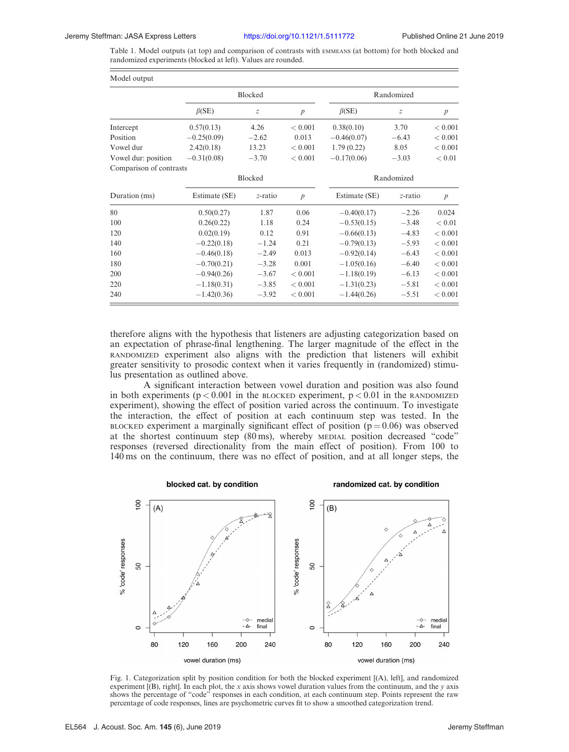<span id="page-4-0"></span>Table 1. Model outputs (at top) and comparison of contrasts with EMMEANS (at bottom) for both blocked and randomized experiments (blocked at left). Values are rounded.

| Model output            |               |                  |                  |               |                  |                  |
|-------------------------|---------------|------------------|------------------|---------------|------------------|------------------|
|                         | Blocked       |                  |                  | Randomized    |                  |                  |
|                         | $\beta$ (SE)  | $\boldsymbol{Z}$ | $\boldsymbol{p}$ | $\beta$ (SE)  | $\boldsymbol{Z}$ | $\boldsymbol{p}$ |
| Intercept               | 0.57(0.13)    | 4.26             | < 0.001          | 0.38(0.10)    | 3.70             | < 0.001          |
| Position                | $-0.25(0.09)$ | $-2.62$          | 0.013            | $-0.46(0.07)$ | $-6.43$          | < 0.001          |
| Vowel dur               | 2.42(0.18)    | 13.23            | < 0.001          | 1.79(0.22)    | 8.05             | < 0.001          |
| Vowel dur: position     | $-0.31(0.08)$ | $-3.70$          | < 0.001          | $-0.17(0.06)$ | $-3.03$          | < 0.01           |
| Comparison of contrasts |               |                  |                  |               |                  |                  |
|                         | Blocked       |                  |                  | Randomized    |                  |                  |
| Duration (ms)           | Estimate (SE) | z-ratio          | $\boldsymbol{p}$ | Estimate (SE) | z-ratio          | $\boldsymbol{p}$ |
| 80                      | 0.50(0.27)    | 1.87             | 0.06             | $-0.40(0.17)$ | $-2.26$          | 0.024            |
| 100                     | 0.26(0.22)    | 1.18             | 0.24             | $-0.53(0.15)$ | $-3.48$          | < 0.01           |
| 120                     | 0.02(0.19)    | 0.12             | 0.91             | $-0.66(0.13)$ | $-4.83$          | < 0.001          |
| 140                     | $-0.22(0.18)$ | $-1.24$          | 0.21             | $-0.79(0.13)$ | $-5.93$          | < 0.001          |
| 160                     | $-0.46(0.18)$ | $-2.49$          | 0.013            | $-0.92(0.14)$ | $-6.43$          | < 0.001          |
| 180                     | $-0.70(0.21)$ | $-3.28$          | 0.001            | $-1.05(0.16)$ | $-6.40$          | < 0.001          |
| 200                     | $-0.94(0.26)$ | $-3.67$          | < 0.001          | $-1.18(0.19)$ | $-6.13$          | < 0.001          |
| 220                     | $-1.18(0.31)$ | $-3.85$          | < 0.001          | $-1.31(0.23)$ | $-5.81$          | < 0.001          |
| 240                     | $-1.42(0.36)$ | $-3.92$          | < 0.001          | $-1.44(0.26)$ | $-5.51$          | < 0.001          |
|                         |               |                  |                  |               |                  |                  |

therefore aligns with the hypothesis that listeners are adjusting categorization based on an expectation of phrase-final lengthening. The larger magnitude of the effect in the RANDOMIZED experiment also aligns with the prediction that listeners will exhibit greater sensitivity to prosodic context when it varies frequently in (randomized) stimulus presentation as outlined above.

A significant interaction between vowel duration and position was also found in both experiments ( $p < 0.001$  in the BLOCKED experiment,  $p < 0.01$  in the RANDOMIZED experiment), showing the effect of position varied across the continuum. To investigate the interaction, the effect of position at each continuum step was tested. In the BLOCKED experiment a marginally significant effect of position ( $p = 0.06$ ) was observed at the shortest continuum step (80 ms), whereby MEDIAL position decreased "code" responses (reversed directionality from the main effect of position). From 100 to 140 ms on the continuum, there was no effect of position, and at all longer steps, the



Fig. 1. Categorization split by position condition for both the blocked experiment [(A), left], and randomized experiment  $[(B)$ , right]. In each plot, the x axis shows vowel duration values from the continuum, and the y axis shows the percentage of "code" responses in each condition, at each continuum step. Points represent the raw percentage of code responses, lines are psychometric curves fit to show a smoothed categorization trend.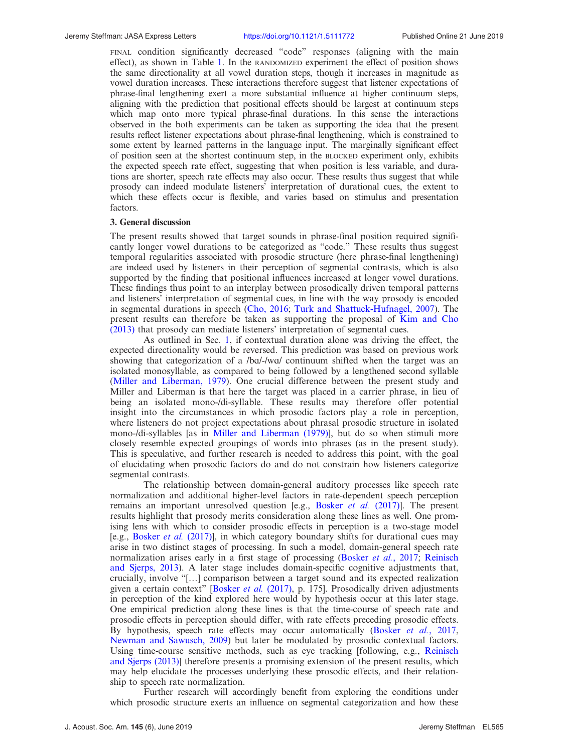FINAL condition significantly decreased "code" responses (aligning with the main effect), as shown in Table [1](#page-4-0). In the RANDOMIZED experiment the effect of position shows the same directionality at all vowel duration steps, though it increases in magnitude as vowel duration increases. These interactions therefore suggest that listener expectations of phrase-final lengthening exert a more substantial influence at higher continuum steps, aligning with the prediction that positional effects should be largest at continuum steps which map onto more typical phrase-final durations. In this sense the interactions observed in the both experiments can be taken as supporting the idea that the present results reflect listener expectations about phrase-final lengthening, which is constrained to some extent by learned patterns in the language input. The marginally significant effect of position seen at the shortest continuum step, in the BLOCKED experiment only, exhibits the expected speech rate effect, suggesting that when position is less variable, and durations are shorter, speech rate effects may also occur. These results thus suggest that while prosody can indeed modulate listeners' interpretation of durational cues, the extent to which these effects occur is flexible, and varies based on stimulus and presentation factors.

#### 3. General discussion

The present results showed that target sounds in phrase-final position required significantly longer vowel durations to be categorized as "code." These results thus suggest temporal regularities associated with prosodic structure (here phrase-final lengthening) are indeed used by listeners in their perception of segmental contrasts, which is also supported by the finding that positional influences increased at longer vowel durations. These findings thus point to an interplay between prosodically driven temporal patterns and listeners' interpretation of segmental cues, in line with the way prosody is encoded in segmental durations in speech ([Cho, 2016](#page-6-0); [Turk and Shattuck-Hufnagel, 2007](#page-6-0)). The present results can therefore be taken as supporting the proposal of [Kim and Cho](#page-6-0) [\(2013\)](#page-6-0) that prosody can mediate listeners' interpretation of segmental cues.

As outlined in Sec. [1](#page-0-0), if contextual duration alone was driving the effect, the expected directionality would be reversed. This prediction was based on previous work showing that categorization of a  $/ba$ -/wa/ continuum shifted when the target was an isolated monosyllable, as compared to being followed by a lengthened second syllable ([Miller and Liberman, 1979](#page-6-0)). One crucial difference between the present study and Miller and Liberman is that here the target was placed in a carrier phrase, in lieu of being an isolated mono-/di-syllable. These results may therefore offer potential insight into the circumstances in which prosodic factors play a role in perception, where listeners do not project expectations about phrasal prosodic structure in isolated mono-/di-syllables [as in [Miller and Liberman \(1979\)](#page-6-0)], but do so when stimuli more closely resemble expected groupings of words into phrases (as in the present study). This is speculative, and further research is needed to address this point, with the goal of elucidating when prosodic factors do and do not constrain how listeners categorize segmental contrasts.

The relationship between domain-general auditory processes like speech rate normalization and additional higher-level factors in rate-dependent speech perception remains an important unresolved question [e.g., [Bosker](#page-6-0) *et al.* (2017)]. The present results highlight that prosody merits consideration along these lines as well. One promising lens with which to consider prosodic effects in perception is a two-stage model [e.g., [Bosker](#page-6-0) et al. (2017)], in which category boundary shifts for durational cues may arise in two distinct stages of processing. In such a model, domain-general speech rate normalization arises early in a first stage of processing [\(Bosker](#page-6-0) et al., 2017; [Reinisch](#page-6-0) [and Sjerps, 2013](#page-6-0)). A later stage includes domain-specific cognitive adjustments that, crucially, involve "[…] comparison between a target sound and its expected realization given a certain context" [[Bosker](#page-6-0) *et al.* (2017), p. 175]. Prosodically driven adjustments in perception of the kind explored here would by hypothesis occur at this later stage. One empirical prediction along these lines is that the time-course of speech rate and prosodic effects in perception should differ, with rate effects preceding prosodic effects. By hypothesis, speech rate effects may occur automatically (Bosker et al.[, 2017,](#page-6-0) [Newman and Sawusch, 2009](#page-6-0)) but later be modulated by prosodic contextual factors. Using time-course sensitive methods, such as eye tracking [following, e.g., [Reinisch](#page-6-0) [and Sjerps \(2013\)\]](#page-6-0) therefore presents a promising extension of the present results, which may help elucidate the processes underlying these prosodic effects, and their relationship to speech rate normalization.

Further research will accordingly benefit from exploring the conditions under which prosodic structure exerts an influence on segmental categorization and how these